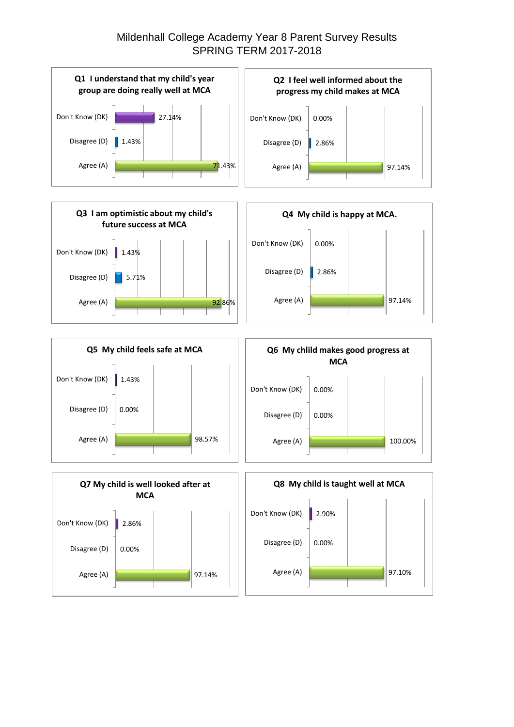## Mildenhall College Academy Year 8 Parent Survey Results SPRING TERM 2017-2018